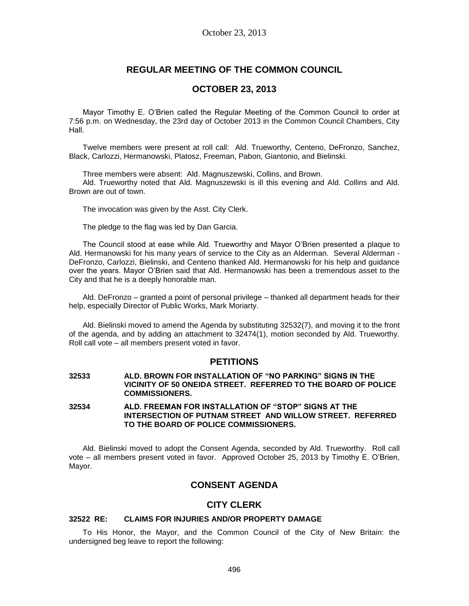# **REGULAR MEETING OF THE COMMON COUNCIL**

# **OCTOBER 23, 2013**

Mayor Timothy E. O'Brien called the Regular Meeting of the Common Council to order at 7:56 p.m. on Wednesday, the 23rd day of October 2013 in the Common Council Chambers, City Hall.

Twelve members were present at roll call: Ald. Trueworthy, Centeno, DeFronzo, Sanchez, Black, Carlozzi, Hermanowski, Platosz, Freeman, Pabon, Giantonio, and Bielinski.

Three members were absent: Ald. Magnuszewski, Collins, and Brown.

Ald. Trueworthy noted that Ald. Magnuszewski is ill this evening and Ald. Collins and Ald. Brown are out of town.

The invocation was given by the Asst. City Clerk.

The pledge to the flag was led by Dan Garcia.

The Council stood at ease while Ald. Trueworthy and Mayor O'Brien presented a plaque to Ald. Hermanowski for his many years of service to the City as an Alderman. Several Alderman - DeFronzo, Carlozzi, Bielinski, and Centeno thanked Ald. Hermanowski for his help and guidance over the years. Mayor O'Brien said that Ald. Hermanowski has been a tremendous asset to the City and that he is a deeply honorable man.

Ald. DeFronzo – granted a point of personal privilege – thanked all department heads for their help, especially Director of Public Works, Mark Moriarty.

Ald. Bielinski moved to amend the Agenda by substituting 32532(7), and moving it to the front of the agenda, and by adding an attachment to 32474(1), motion seconded by Ald. Trueworthy. Roll call vote – all members present voted in favor.

## **PETITIONS**

**32533 ALD. BROWN FOR INSTALLATION OF "NO PARKING" SIGNS IN THE VICINITY OF 50 ONEIDA STREET. REFERRED TO THE BOARD OF POLICE COMMISSIONERS.**

**32534 ALD. FREEMAN FOR INSTALLATION OF "STOP" SIGNS AT THE INTERSECTION OF PUTNAM STREET AND WILLOW STREET. REFERRED TO THE BOARD OF POLICE COMMISSIONERS.**

Ald. Bielinski moved to adopt the Consent Agenda, seconded by Ald. Trueworthy. Roll call vote – all members present voted in favor. Approved October 25, 2013 by Timothy E. O'Brien, Mayor.

# **CONSENT AGENDA**

## **CITY CLERK**

### **32522 RE: CLAIMS FOR INJURIES AND/OR PROPERTY DAMAGE**

To His Honor, the Mayor, and the Common Council of the City of New Britain: the undersigned beg leave to report the following: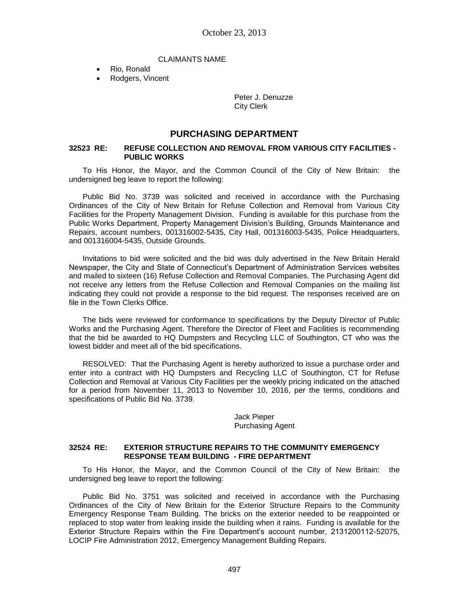### CLAIMANTS NAME

- Rio, Ronald
- Rodgers, Vincent

Peter J. Denuzze City Clerk

## **PURCHASING DEPARTMENT**

### **32523 RE: REFUSE COLLECTION AND REMOVAL FROM VARIOUS CITY FACILITIES - PUBLIC WORKS**

To His Honor, the Mayor, and the Common Council of the City of New Britain: the undersigned beg leave to report the following:

Public Bid No. 3739 was solicited and received in accordance with the Purchasing Ordinances of the City of New Britain for Refuse Collection and Removal from Various City Facilities for the Property Management Division. Funding is available for this purchase from the Public Works Department, Property Management Division's Building, Grounds Maintenance and Repairs, account numbers, 001316002-5435, City Hall, 001316003-5435, Police Headquarters, and 001316004-5435, Outside Grounds.

Invitations to bid were solicited and the bid was duly advertised in the New Britain Herald Newspaper, the City and State of Connecticut's Department of Administration Services websites and mailed to sixteen (16) Refuse Collection and Removal Companies. The Purchasing Agent did not receive any letters from the Refuse Collection and Removal Companies on the mailing list indicating they could not provide a response to the bid request. The responses received are on file in the Town Clerks Office.

The bids were reviewed for conformance to specifications by the Deputy Director of Public Works and the Purchasing Agent. Therefore the Director of Fleet and Facilities is recommending that the bid be awarded to HQ Dumpsters and Recycling LLC of Southington, CT who was the lowest bidder and meet all of the bid specifications.

RESOLVED: That the Purchasing Agent is hereby authorized to issue a purchase order and enter into a contract with HQ Dumpsters and Recycling LLC of Southington, CT for Refuse Collection and Removal at Various City Facilities per the weekly pricing indicated on the attached for a period from November 11, 2013 to November 10, 2016, per the terms, conditions and specifications of Public Bid No. 3739.

> Jack Pieper Purchasing Agent

### **32524 RE: EXTERIOR STRUCTURE REPAIRS TO THE COMMUNITY EMERGENCY RESPONSE TEAM BUILDING - FIRE DEPARTMENT**

To His Honor, the Mayor, and the Common Council of the City of New Britain: the undersigned beg leave to report the following:

Public Bid No. 3751 was solicited and received in accordance with the Purchasing Ordinances of the City of New Britain for the Exterior Structure Repairs to the Community Emergency Response Team Building. The bricks on the exterior needed to be reappointed or replaced to stop water from leaking inside the building when it rains. Funding is available for the Exterior Structure Repairs within the Fire Department's account number, 2131200112-52075, LOCIP Fire Administration 2012, Emergency Management Building Repairs.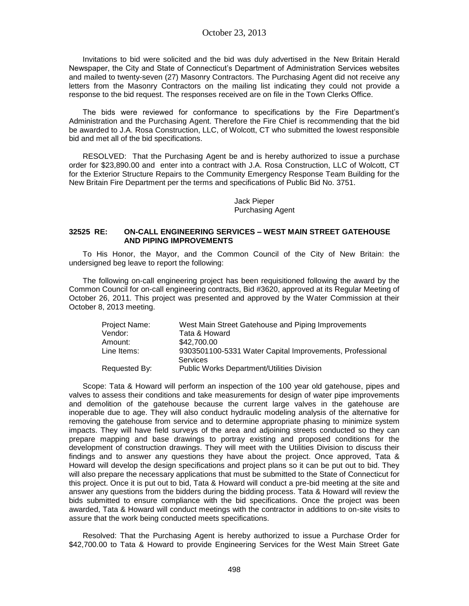Invitations to bid were solicited and the bid was duly advertised in the New Britain Herald Newspaper, the City and State of Connecticut's Department of Administration Services websites and mailed to twenty-seven (27) Masonry Contractors. The Purchasing Agent did not receive any letters from the Masonry Contractors on the mailing list indicating they could not provide a response to the bid request. The responses received are on file in the Town Clerks Office.

The bids were reviewed for conformance to specifications by the Fire Department's Administration and the Purchasing Agent. Therefore the Fire Chief is recommending that the bid be awarded to J.A. Rosa Construction, LLC, of Wolcott, CT who submitted the lowest responsible bid and met all of the bid specifications.

RESOLVED: That the Purchasing Agent be and is hereby authorized to issue a purchase order for \$23,890.00 and enter into a contract with J.A. Rosa Construction, LLC of Wolcott, CT for the Exterior Structure Repairs to the Community Emergency Response Team Building for the New Britain Fire Department per the terms and specifications of Public Bid No. 3751.

> Jack Pieper Purchasing Agent

### **32525 RE: ON-CALL ENGINEERING SERVICES – WEST MAIN STREET GATEHOUSE AND PIPING IMPROVEMENTS**

To His Honor, the Mayor, and the Common Council of the City of New Britain: the undersigned beg leave to report the following:

The following on-call engineering project has been requisitioned following the award by the Common Council for on-call engineering contracts, Bid #3620, approved at its Regular Meeting of October 26, 2011. This project was presented and approved by the Water Commission at their October 8, 2013 meeting.

| Project Name: | West Main Street Gatehouse and Piping Improvements                   |
|---------------|----------------------------------------------------------------------|
| Vendor:       | Tata & Howard                                                        |
| Amount:       | \$42,700.00                                                          |
| Line Items:   | 9303501100-5331 Water Capital Improvements, Professional<br>Services |
| Requested By: | <b>Public Works Department/Utilities Division</b>                    |

Scope: Tata & Howard will perform an inspection of the 100 year old gatehouse, pipes and valves to assess their conditions and take measurements for design of water pipe improvements and demolition of the gatehouse because the current large valves in the gatehouse are inoperable due to age. They will also conduct hydraulic modeling analysis of the alternative for removing the gatehouse from service and to determine appropriate phasing to minimize system impacts. They will have field surveys of the area and adjoining streets conducted so they can prepare mapping and base drawings to portray existing and proposed conditions for the development of construction drawings. They will meet with the Utilities Division to discuss their findings and to answer any questions they have about the project. Once approved, Tata & Howard will develop the design specifications and project plans so it can be put out to bid. They will also prepare the necessary applications that must be submitted to the State of Connecticut for this project. Once it is put out to bid, Tata & Howard will conduct a pre-bid meeting at the site and answer any questions from the bidders during the bidding process. Tata & Howard will review the bids submitted to ensure compliance with the bid specifications. Once the project was been awarded, Tata & Howard will conduct meetings with the contractor in additions to on-site visits to assure that the work being conducted meets specifications.

Resolved: That the Purchasing Agent is hereby authorized to issue a Purchase Order for \$42,700.00 to Tata & Howard to provide Engineering Services for the West Main Street Gate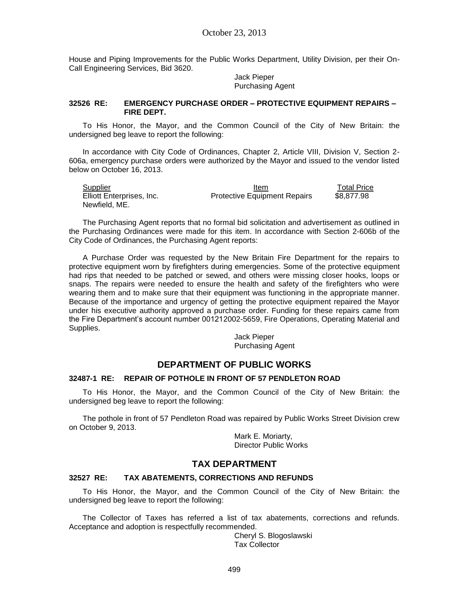House and Piping Improvements for the Public Works Department, Utility Division, per their On-Call Engineering Services, Bid 3620.

> Jack Pieper Purchasing Agent

### **32526 RE: EMERGENCY PURCHASE ORDER – PROTECTIVE EQUIPMENT REPAIRS – FIRE DEPT.**

To His Honor, the Mayor, and the Common Council of the City of New Britain: the undersigned beg leave to report the following:

In accordance with City Code of Ordinances, Chapter 2, Article VIII, Division V, Section 2- 606a, emergency purchase orders were authorized by the Mayor and issued to the vendor listed below on October 16, 2013.

| <b>Supplier</b>           | Item                                | <b>Total Price</b> |
|---------------------------|-------------------------------------|--------------------|
| Elliott Enterprises, Inc. | <b>Protective Equipment Repairs</b> | \$8.877.98         |
| Newfield, ME.             |                                     |                    |

The Purchasing Agent reports that no formal bid solicitation and advertisement as outlined in the Purchasing Ordinances were made for this item. In accordance with Section 2-606b of the City Code of Ordinances, the Purchasing Agent reports:

A Purchase Order was requested by the New Britain Fire Department for the repairs to protective equipment worn by firefighters during emergencies. Some of the protective equipment had rips that needed to be patched or sewed, and others were missing closer hooks, loops or snaps. The repairs were needed to ensure the health and safety of the firefighters who were wearing them and to make sure that their equipment was functioning in the appropriate manner. Because of the importance and urgency of getting the protective equipment repaired the Mayor under his executive authority approved a purchase order. Funding for these repairs came from the Fire Department's account number 001212002-5659, Fire Operations, Operating Material and Supplies.

> Jack Pieper Purchasing Agent

# **DEPARTMENT OF PUBLIC WORKS**

### **32487-1 RE: REPAIR OF POTHOLE IN FRONT OF 57 PENDLETON ROAD**

To His Honor, the Mayor, and the Common Council of the City of New Britain: the undersigned beg leave to report the following:

The pothole in front of 57 Pendleton Road was repaired by Public Works Street Division crew on October 9, 2013.

> Mark E. Moriarty, Director Public Works

## **TAX DEPARTMENT**

#### **32527 RE: TAX ABATEMENTS, CORRECTIONS AND REFUNDS**

To His Honor, the Mayor, and the Common Council of the City of New Britain: the undersigned beg leave to report the following:

The Collector of Taxes has referred a list of tax abatements, corrections and refunds. Acceptance and adoption is respectfully recommended.

> Cheryl S. Blogoslawski Tax Collector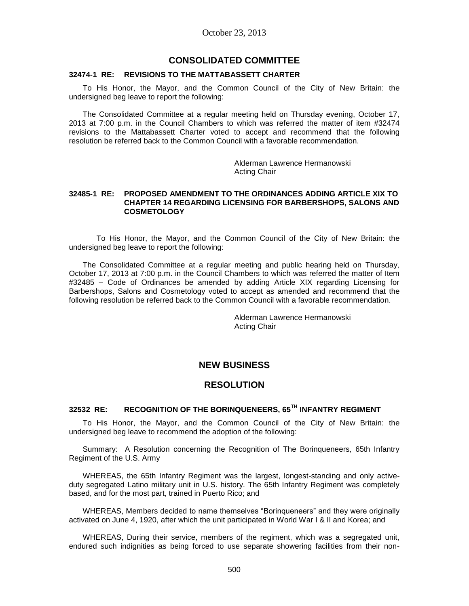## **CONSOLIDATED COMMITTEE**

#### **32474-1 RE: REVISIONS TO THE MATTABASSETT CHARTER**

To His Honor, the Mayor, and the Common Council of the City of New Britain: the undersigned beg leave to report the following:

The Consolidated Committee at a regular meeting held on Thursday evening, October 17, 2013 at 7:00 p.m. in the Council Chambers to which was referred the matter of item #32474 revisions to the Mattabassett Charter voted to accept and recommend that the following resolution be referred back to the Common Council with a favorable recommendation.

> Alderman Lawrence Hermanowski Acting Chair

### **32485-1 RE: PROPOSED AMENDMENT TO THE ORDINANCES ADDING ARTICLE XIX TO CHAPTER 14 REGARDING LICENSING FOR BARBERSHOPS, SALONS AND COSMETOLOGY**

To His Honor, the Mayor, and the Common Council of the City of New Britain: the undersigned beg leave to report the following:

The Consolidated Committee at a regular meeting and public hearing held on Thursday, October 17, 2013 at 7:00 p.m. in the Council Chambers to which was referred the matter of Item #32485 – Code of Ordinances be amended by adding Article XIX regarding Licensing for Barbershops, Salons and Cosmetology voted to accept as amended and recommend that the following resolution be referred back to the Common Council with a favorable recommendation.

> Alderman Lawrence Hermanowski Acting Chair

## **NEW BUSINESS**

## **RESOLUTION**

## **32532 RE: RECOGNITION OF THE BORINQUENEERS, 65TH INFANTRY REGIMENT**

To His Honor, the Mayor, and the Common Council of the City of New Britain: the undersigned beg leave to recommend the adoption of the following:

Summary: A Resolution concerning the Recognition of The Borinqueneers, 65th Infantry Regiment of the U.S. Army

WHEREAS, the 65th Infantry Regiment was the largest, longest-standing and only activeduty segregated Latino military unit in U.S. history. The 65th Infantry Regiment was completely based, and for the most part, trained in Puerto Rico; and

WHEREAS, Members decided to name themselves "Borinqueneers" and they were originally activated on June 4, 1920, after which the unit participated in World War I & II and Korea; and

WHEREAS, During their service, members of the regiment, which was a segregated unit, endured such indignities as being forced to use separate showering facilities from their non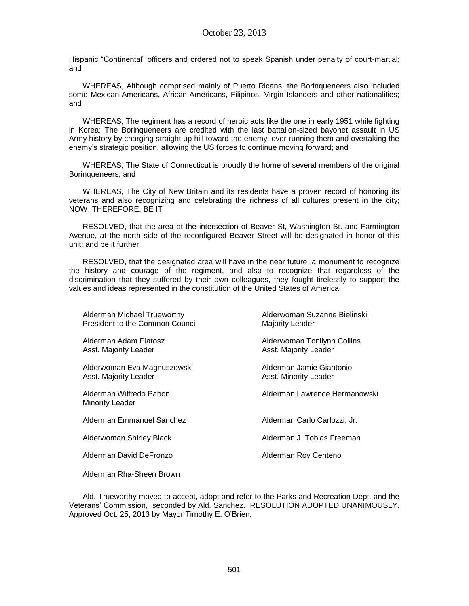Hispanic "Continental" officers and ordered not to speak Spanish under penalty of court-martial; and

WHEREAS, Although comprised mainly of Puerto Ricans, the Borinqueneers also included some Mexican-Americans, African-Americans, Filipinos, Virgin Islanders and other nationalities; and

WHEREAS, The regiment has a record of heroic acts like the one in early 1951 while fighting in Korea: The Borinqueneers are credited with the last battalion-sized bayonet assault in US Army history by charging straight up hill toward the enemy, over running them and overtaking the enemy's strategic position, allowing the US forces to continue moving forward; and

WHEREAS, The State of Connecticut is proudly the home of several members of the original Borinqueneers; and

WHEREAS, The City of New Britain and its residents have a proven record of honoring its veterans and also recognizing and celebrating the richness of all cultures present in the city; NOW, THEREFORE, BE IT

RESOLVED, that the area at the intersection of Beaver St, Washington St. and Farmington Avenue, at the north side of the reconfigured Beaver Street will be designated in honor of this unit; and be it further

RESOLVED, that the designated area will have in the near future, a monument to recognize the history and courage of the regiment, and also to recognize that regardless of the discrimination that they suffered by their own colleagues, they fought tirelessly to support the values and ideas represented in the constitution of the United States of America.

| Alderman Michael Trueworthy<br>President to the Common Council | Alderwoman Suzanne Bielinski<br>Majority Leader      |
|----------------------------------------------------------------|------------------------------------------------------|
| Alderman Adam Platosz<br>Asst. Majority Leader                 | Alderwoman Tonilynn Collins<br>Asst. Majority Leader |
| Alderwoman Eva Magnuszewski<br>Asst. Majority Leader           | Alderman Jamie Giantonio<br>Asst. Minority Leader    |
| Alderman Wilfredo Pabon<br><b>Minority Leader</b>              | Alderman Lawrence Hermanowski                        |
| Alderman Emmanuel Sanchez                                      | Alderman Carlo Carlozzi, Jr.                         |
| Alderwoman Shirley Black                                       | Alderman J. Tobias Freeman                           |
| Alderman David DeFronzo                                        | Alderman Roy Centeno                                 |
|                                                                |                                                      |

Alderman Rha-Sheen Brown

Ald. Trueworthy moved to accept, adopt and refer to the Parks and Recreation Dept. and the Veterans' Commission, seconded by Ald. Sanchez. RESOLUTION ADOPTED UNANIMOUSLY. Approved Oct. 25, 2013 by Mayor Timothy E. O'Brien.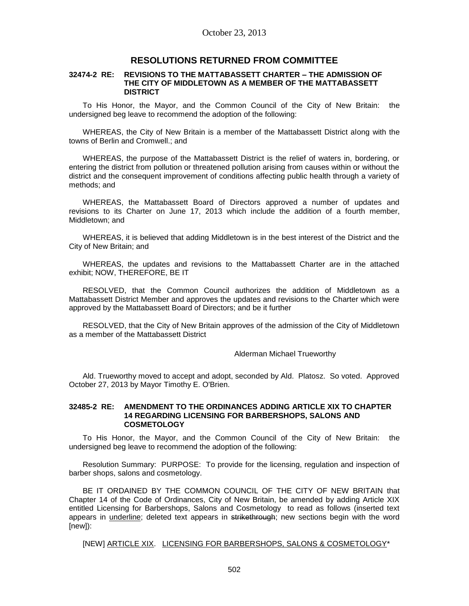## **RESOLUTIONS RETURNED FROM COMMITTEE**

#### **32474-2 RE: REVISIONS TO THE MATTABASSETT CHARTER – THE ADMISSION OF THE CITY OF MIDDLETOWN AS A MEMBER OF THE MATTABASSETT DISTRICT**

To His Honor, the Mayor, and the Common Council of the City of New Britain: the undersigned beg leave to recommend the adoption of the following:

WHEREAS, the City of New Britain is a member of the Mattabassett District along with the towns of Berlin and Cromwell.; and

WHEREAS, the purpose of the Mattabassett District is the relief of waters in, bordering, or entering the district from pollution or threatened pollution arising from causes within or without the district and the consequent improvement of conditions affecting public health through a variety of methods; and

WHEREAS, the Mattabassett Board of Directors approved a number of updates and revisions to its Charter on June 17, 2013 which include the addition of a fourth member, Middletown; and

WHEREAS, it is believed that adding Middletown is in the best interest of the District and the City of New Britain; and

WHEREAS, the updates and revisions to the Mattabassett Charter are in the attached exhibit; NOW, THEREFORE, BE IT

RESOLVED, that the Common Council authorizes the addition of Middletown as a Mattabassett District Member and approves the updates and revisions to the Charter which were approved by the Mattabassett Board of Directors; and be it further

RESOLVED, that the City of New Britain approves of the admission of the City of Middletown as a member of the Mattabassett District

### Alderman Michael Trueworthy

Ald. Trueworthy moved to accept and adopt, seconded by Ald. Platosz. So voted. Approved October 27, 2013 by Mayor Timothy E. O'Brien.

#### **32485-2 RE: AMENDMENT TO THE ORDINANCES ADDING ARTICLE XIX TO CHAPTER 14 REGARDING LICENSING FOR BARBERSHOPS, SALONS AND COSMETOLOGY**

To His Honor, the Mayor, and the Common Council of the City of New Britain: the undersigned beg leave to recommend the adoption of the following:

Resolution Summary: PURPOSE: To provide for the licensing, regulation and inspection of barber shops, salons and cosmetology.

BE IT ORDAINED BY THE COMMON COUNCIL OF THE CITY OF NEW BRITAIN that Chapter 14 of the Code of Ordinances, City of New Britain, be amended by adding Article XIX entitled Licensing for Barbershops, Salons and Cosmetology to read as follows (inserted text appears in *underline*; deleted text appears in strikethrough; new sections begin with the word [new]):

[NEW] ARTICLE XIX. LICENSING FOR BARBERSHOPS, SALONS & COSMETOLOGY\*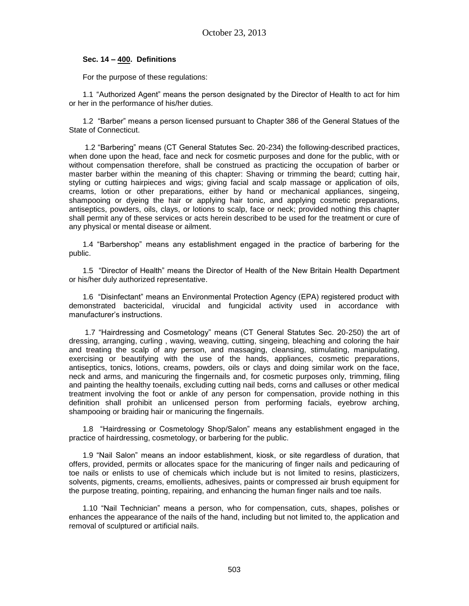### **Sec. 14 – 400. Definitions**

For the purpose of these regulations:

1.1 "Authorized Agent" means the person designated by the Director of Health to act for him or her in the performance of his/her duties.

1.2 "Barber" means a person licensed pursuant to Chapter 386 of the General Statues of the State of Connecticut.

1.2 "Barbering" means (CT General Statutes Sec. 20-234) the following-described practices, when done upon the head, face and neck for cosmetic purposes and done for the public, with or without compensation therefore, shall be construed as practicing the occupation of barber or master barber within the meaning of this chapter: Shaving or trimming the beard; cutting hair, styling or cutting hairpieces and wigs; giving facial and scalp massage or application of oils, creams, lotion or other preparations, either by hand or mechanical appliances, singeing, shampooing or dyeing the hair or applying hair tonic, and applying cosmetic preparations, antiseptics, powders, oils, clays, or lotions to scalp, face or neck; provided nothing this chapter shall permit any of these services or acts herein described to be used for the treatment or cure of any physical or mental disease or ailment.

1.4 "Barbershop" means any establishment engaged in the practice of barbering for the public.

1.5 "Director of Health" means the Director of Health of the New Britain Health Department or his/her duly authorized representative.

1.6 "Disinfectant" means an Environmental Protection Agency (EPA) registered product with demonstrated bactericidal, virucidal and fungicidal activity used in accordance with manufacturer's instructions.

1.7 "Hairdressing and Cosmetology" means (CT General Statutes Sec. 20-250) the art of dressing, arranging, curling , waving, weaving, cutting, singeing, bleaching and coloring the hair and treating the scalp of any person, and massaging, cleansing, stimulating, manipulating, exercising or beautifying with the use of the hands, appliances, cosmetic preparations, antiseptics, tonics, lotions, creams, powders, oils or clays and doing similar work on the face, neck and arms, and manicuring the fingernails and, for cosmetic purposes only, trimming, filing and painting the healthy toenails, excluding cutting nail beds, corns and calluses or other medical treatment involving the foot or ankle of any person for compensation, provide nothing in this definition shall prohibit an unlicensed person from performing facials, eyebrow arching, shampooing or braiding hair or manicuring the fingernails.

1.8 "Hairdressing or Cosmetology Shop/Salon" means any establishment engaged in the practice of hairdressing, cosmetology, or barbering for the public.

1.9 "Nail Salon" means an indoor establishment, kiosk, or site regardless of duration, that offers, provided, permits or allocates space for the manicuring of finger nails and pedicauring of toe nails or enlists to use of chemicals which include but is not limited to resins, plasticizers, solvents, pigments, creams, emollients, adhesives, paints or compressed air brush equipment for the purpose treating, pointing, repairing, and enhancing the human finger nails and toe nails.

1.10 "Nail Technician" means a person, who for compensation, cuts, shapes, polishes or enhances the appearance of the nails of the hand, including but not limited to, the application and removal of sculptured or artificial nails.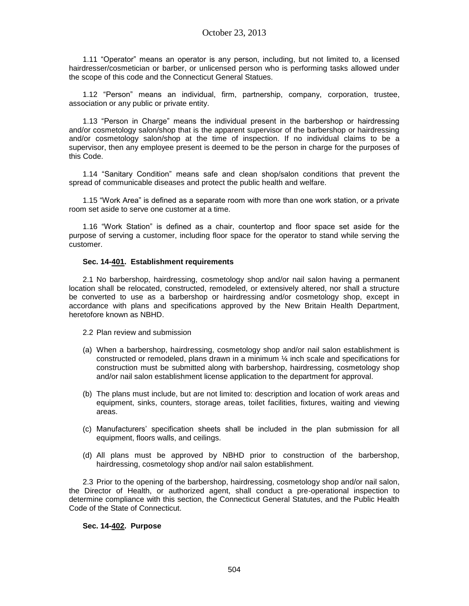1.11 "Operator" means an operator is any person, including, but not limited to, a licensed hairdresser/cosmetician or barber, or unlicensed person who is performing tasks allowed under the scope of this code and the Connecticut General Statues.

1.12 "Person" means an individual, firm, partnership, company, corporation, trustee, association or any public or private entity.

1.13 "Person in Charge" means the individual present in the barbershop or hairdressing and/or cosmetology salon/shop that is the apparent supervisor of the barbershop or hairdressing and/or cosmetology salon/shop at the time of inspection. If no individual claims to be a supervisor, then any employee present is deemed to be the person in charge for the purposes of this Code.

1.14 "Sanitary Condition" means safe and clean shop/salon conditions that prevent the spread of communicable diseases and protect the public health and welfare.

1.15 "Work Area" is defined as a separate room with more than one work station, or a private room set aside to serve one customer at a time.

1.16 "Work Station" is defined as a chair, countertop and floor space set aside for the purpose of serving a customer, including floor space for the operator to stand while serving the customer.

### **Sec. 14-401. Establishment requirements**

2.1 No barbershop, hairdressing, cosmetology shop and/or nail salon having a permanent location shall be relocated, constructed, remodeled, or extensively altered, nor shall a structure be converted to use as a barbershop or hairdressing and/or cosmetology shop, except in accordance with plans and specifications approved by the New Britain Health Department, heretofore known as NBHD.

2.2 Plan review and submission

- (a) When a barbershop, hairdressing, cosmetology shop and/or nail salon establishment is constructed or remodeled, plans drawn in a minimum ¼ inch scale and specifications for construction must be submitted along with barbershop, hairdressing, cosmetology shop and/or nail salon establishment license application to the department for approval.
- (b) The plans must include, but are not limited to: description and location of work areas and equipment, sinks, counters, storage areas, toilet facilities, fixtures, waiting and viewing areas.
- (c) Manufacturers' specification sheets shall be included in the plan submission for all equipment, floors walls, and ceilings.
- (d) All plans must be approved by NBHD prior to construction of the barbershop, hairdressing, cosmetology shop and/or nail salon establishment.

2.3 Prior to the opening of the barbershop, hairdressing, cosmetology shop and/or nail salon, the Director of Health, or authorized agent, shall conduct a pre-operational inspection to determine compliance with this section, the Connecticut General Statutes, and the Public Health Code of the State of Connecticut.

### **Sec. 14-402. Purpose**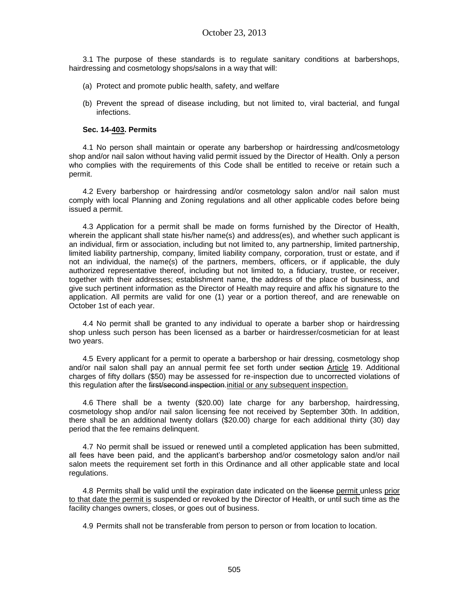3.1 The purpose of these standards is to regulate sanitary conditions at barbershops, hairdressing and cosmetology shops/salons in a way that will:

- (a) Protect and promote public health, safety, and welfare
- (b) Prevent the spread of disease including, but not limited to, viral bacterial, and fungal infections.

### **Sec. 14-403. Permits**

4.1 No person shall maintain or operate any barbershop or hairdressing and/cosmetology shop and/or nail salon without having valid permit issued by the Director of Health. Only a person who complies with the requirements of this Code shall be entitled to receive or retain such a permit.

4.2 Every barbershop or hairdressing and/or cosmetology salon and/or nail salon must comply with local Planning and Zoning regulations and all other applicable codes before being issued a permit.

4.3 Application for a permit shall be made on forms furnished by the Director of Health, wherein the applicant shall state his/her name(s) and address(es), and whether such applicant is an individual, firm or association, including but not limited to, any partnership, limited partnership, limited liability partnership, company, limited liability company, corporation, trust or estate, and if not an individual, the name(s) of the partners, members, officers, or if applicable, the duly authorized representative thereof, including but not limited to, a fiduciary, trustee, or receiver, together with their addresses; establishment name, the address of the place of business, and give such pertinent information as the Director of Health may require and affix his signature to the application. All permits are valid for one (1) year or a portion thereof, and are renewable on October 1st of each year.

4.4 No permit shall be granted to any individual to operate a barber shop or hairdressing shop unless such person has been licensed as a barber or hairdresser/cosmetician for at least two years.

4.5 Every applicant for a permit to operate a barbershop or hair dressing, cosmetology shop and/or nail salon shall pay an annual permit fee set forth under section Article 19. Additional charges of fifty dollars (\$50) may be assessed for re-inspection due to uncorrected violations of this regulation after the first/second inspection. initial or any subsequent inspection.

4.6 There shall be a twenty (\$20.00) late charge for any barbershop, hairdressing, cosmetology shop and/or nail salon licensing fee not received by September 30th. In addition, there shall be an additional twenty dollars (\$20.00) charge for each additional thirty (30) day period that the fee remains delinquent.

4.7 No permit shall be issued or renewed until a completed application has been submitted, all fees have been paid, and the applicant's barbershop and/or cosmetology salon and/or nail salon meets the requirement set forth in this Ordinance and all other applicable state and local regulations.

4.8 Permits shall be valid until the expiration date indicated on the license permit unless prior to that date the permit is suspended or revoked by the Director of Health, or until such time as the facility changes owners, closes, or goes out of business.

4.9 Permits shall not be transferable from person to person or from location to location.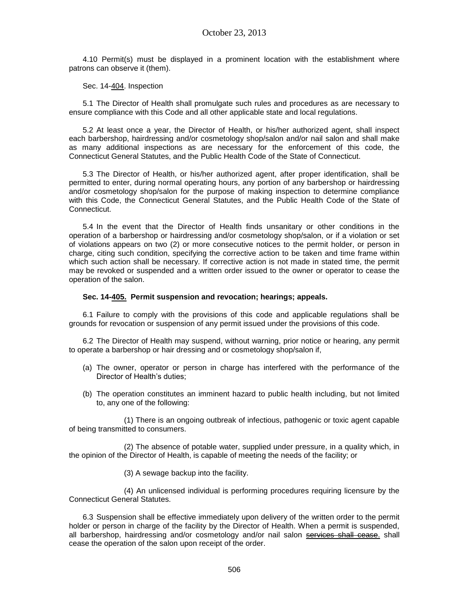4.10 Permit(s) must be displayed in a prominent location with the establishment where patrons can observe it (them).

Sec. 14-404. Inspection

5.1 The Director of Health shall promulgate such rules and procedures as are necessary to ensure compliance with this Code and all other applicable state and local regulations.

5.2 At least once a year, the Director of Health, or his/her authorized agent, shall inspect each barbershop, hairdressing and/or cosmetology shop/salon and/or nail salon and shall make as many additional inspections as are necessary for the enforcement of this code, the Connecticut General Statutes, and the Public Health Code of the State of Connecticut.

5.3 The Director of Health, or his/her authorized agent, after proper identification, shall be permitted to enter, during normal operating hours, any portion of any barbershop or hairdressing and/or cosmetology shop/salon for the purpose of making inspection to determine compliance with this Code, the Connecticut General Statutes, and the Public Health Code of the State of Connecticut.

5.4 In the event that the Director of Health finds unsanitary or other conditions in the operation of a barbershop or hairdressing and/or cosmetology shop/salon, or if a violation or set of violations appears on two (2) or more consecutive notices to the permit holder, or person in charge, citing such condition, specifying the corrective action to be taken and time frame within which such action shall be necessary. If corrective action is not made in stated time, the permit may be revoked or suspended and a written order issued to the owner or operator to cease the operation of the salon.

### **Sec. 14-405. Permit suspension and revocation; hearings; appeals.**

6.1 Failure to comply with the provisions of this code and applicable regulations shall be grounds for revocation or suspension of any permit issued under the provisions of this code.

6.2 The Director of Health may suspend, without warning, prior notice or hearing, any permit to operate a barbershop or hair dressing and or cosmetology shop/salon if,

- (a) The owner, operator or person in charge has interfered with the performance of the Director of Health's duties;
- (b) The operation constitutes an imminent hazard to public health including, but not limited to, any one of the following:

(1) There is an ongoing outbreak of infectious, pathogenic or toxic agent capable of being transmitted to consumers.

(2) The absence of potable water, supplied under pressure, in a quality which, in the opinion of the Director of Health, is capable of meeting the needs of the facility; or

(3) A sewage backup into the facility.

(4) An unlicensed individual is performing procedures requiring licensure by the Connecticut General Statutes.

6.3 Suspension shall be effective immediately upon delivery of the written order to the permit holder or person in charge of the facility by the Director of Health. When a permit is suspended, all barbershop, hairdressing and/or cosmetology and/or nail salon services shall cease. shall cease the operation of the salon upon receipt of the order.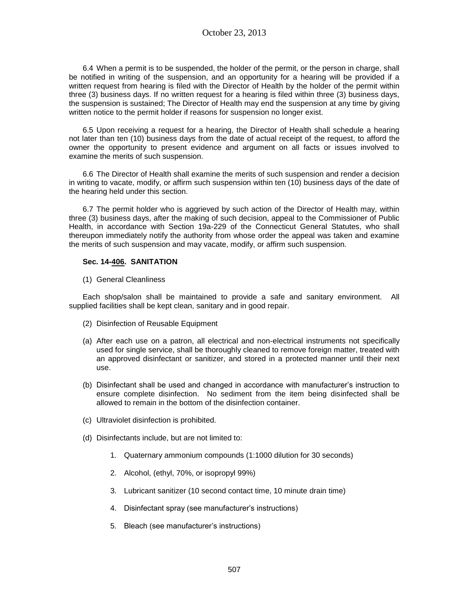6.4 When a permit is to be suspended, the holder of the permit, or the person in charge, shall be notified in writing of the suspension, and an opportunity for a hearing will be provided if a written request from hearing is filed with the Director of Health by the holder of the permit within three (3) business days. If no written request for a hearing is filed within three (3) business days, the suspension is sustained; The Director of Health may end the suspension at any time by giving written notice to the permit holder if reasons for suspension no longer exist.

6.5 Upon receiving a request for a hearing, the Director of Health shall schedule a hearing not later than ten (10) business days from the date of actual receipt of the request, to afford the owner the opportunity to present evidence and argument on all facts or issues involved to examine the merits of such suspension.

6.6 The Director of Health shall examine the merits of such suspension and render a decision in writing to vacate, modify, or affirm such suspension within ten (10) business days of the date of the hearing held under this section.

6.7 The permit holder who is aggrieved by such action of the Director of Health may, within three (3) business days, after the making of such decision, appeal to the Commissioner of Public Health, in accordance with Section 19a-229 of the Connecticut General Statutes, who shall thereupon immediately notify the authority from whose order the appeal was taken and examine the merits of such suspension and may vacate, modify, or affirm such suspension.

### **Sec. 14-406. SANITATION**

(1) General Cleanliness

Each shop/salon shall be maintained to provide a safe and sanitary environment. All supplied facilities shall be kept clean, sanitary and in good repair.

- (2) Disinfection of Reusable Equipment
- (a) After each use on a patron, all electrical and non-electrical instruments not specifically used for single service, shall be thoroughly cleaned to remove foreign matter, treated with an approved disinfectant or sanitizer, and stored in a protected manner until their next use.
- (b) Disinfectant shall be used and changed in accordance with manufacturer's instruction to ensure complete disinfection. No sediment from the item being disinfected shall be allowed to remain in the bottom of the disinfection container.
- (c) Ultraviolet disinfection is prohibited.
- (d) Disinfectants include, but are not limited to:
	- 1. Quaternary ammonium compounds (1:1000 dilution for 30 seconds)
	- 2. Alcohol, (ethyl, 70%, or isopropyl 99%)
	- 3. Lubricant sanitizer (10 second contact time, 10 minute drain time)
	- 4. Disinfectant spray (see manufacturer's instructions)
	- 5. Bleach (see manufacturer's instructions)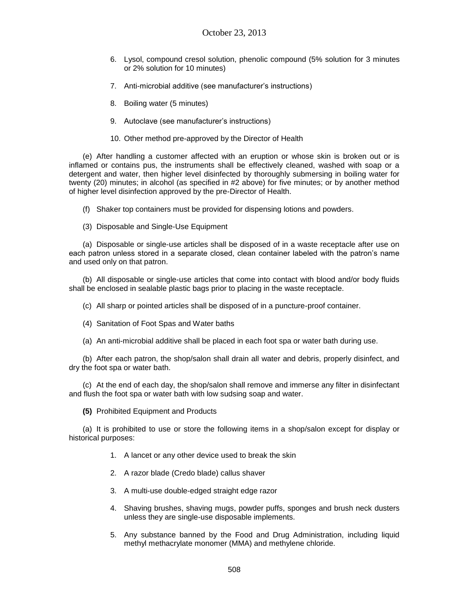- 6. Lysol, compound cresol solution, phenolic compound (5% solution for 3 minutes or 2% solution for 10 minutes)
- 7. Anti-microbial additive (see manufacturer's instructions)
- 8. Boiling water (5 minutes)
- 9. Autoclave (see manufacturer's instructions)
- 10. Other method pre-approved by the Director of Health

(e) After handling a customer affected with an eruption or whose skin is broken out or is inflamed or contains pus, the instruments shall be effectively cleaned, washed with soap or a detergent and water, then higher level disinfected by thoroughly submersing in boiling water for twenty (20) minutes; in alcohol (as specified in #2 above) for five minutes; or by another method of higher level disinfection approved by the pre-Director of Health.

- (f) Shaker top containers must be provided for dispensing lotions and powders.
- (3) Disposable and Single-Use Equipment

(a) Disposable or single-use articles shall be disposed of in a waste receptacle after use on each patron unless stored in a separate closed, clean container labeled with the patron's name and used only on that patron.

(b) All disposable or single-use articles that come into contact with blood and/or body fluids shall be enclosed in sealable plastic bags prior to placing in the waste receptacle.

- (c) All sharp or pointed articles shall be disposed of in a puncture-proof container.
- (4) Sanitation of Foot Spas and Water baths
- (a) An anti-microbial additive shall be placed in each foot spa or water bath during use.

(b) After each patron, the shop/salon shall drain all water and debris, properly disinfect, and dry the foot spa or water bath.

(c) At the end of each day, the shop/salon shall remove and immerse any filter in disinfectant and flush the foot spa or water bath with low sudsing soap and water.

**(5)** Prohibited Equipment and Products

(a) It is prohibited to use or store the following items in a shop/salon except for display or historical purposes:

- 1. A lancet or any other device used to break the skin
- 2. A razor blade (Credo blade) callus shaver
- 3. A multi-use double-edged straight edge razor
- 4. Shaving brushes, shaving mugs, powder puffs, sponges and brush neck dusters unless they are single-use disposable implements.
- 5. Any substance banned by the Food and Drug Administration, including liquid methyl methacrylate monomer (MMA) and methylene chloride.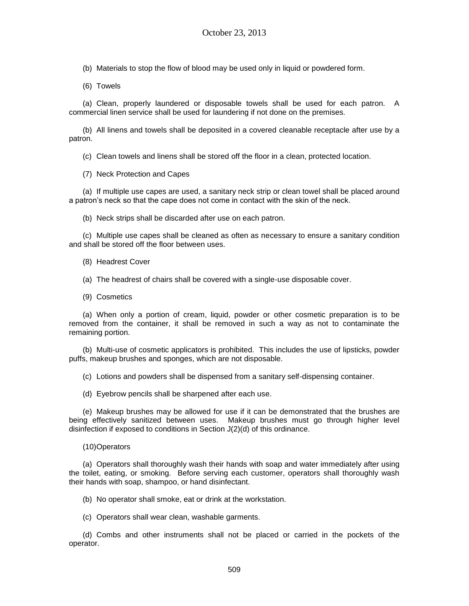(b) Materials to stop the flow of blood may be used only in liquid or powdered form.

(6) Towels

(a) Clean, properly laundered or disposable towels shall be used for each patron. A commercial linen service shall be used for laundering if not done on the premises.

(b) All linens and towels shall be deposited in a covered cleanable receptacle after use by a patron.

(c) Clean towels and linens shall be stored off the floor in a clean, protected location.

(7) Neck Protection and Capes

(a) If multiple use capes are used, a sanitary neck strip or clean towel shall be placed around a patron's neck so that the cape does not come in contact with the skin of the neck.

(b) Neck strips shall be discarded after use on each patron.

(c) Multiple use capes shall be cleaned as often as necessary to ensure a sanitary condition and shall be stored off the floor between uses.

(8) Headrest Cover

(a) The headrest of chairs shall be covered with a single-use disposable cover.

(9) Cosmetics

(a) When only a portion of cream, liquid, powder or other cosmetic preparation is to be removed from the container, it shall be removed in such a way as not to contaminate the remaining portion.

(b) Multi-use of cosmetic applicators is prohibited. This includes the use of lipsticks, powder puffs, makeup brushes and sponges, which are not disposable.

(c) Lotions and powders shall be dispensed from a sanitary self-dispensing container.

(d) Eyebrow pencils shall be sharpened after each use.

(e) Makeup brushes may be allowed for use if it can be demonstrated that the brushes are being effectively sanitized between uses. Makeup brushes must go through higher level disinfection if exposed to conditions in Section J(2)(d) of this ordinance.

(10)Operators

(a) Operators shall thoroughly wash their hands with soap and water immediately after using the toilet, eating, or smoking. Before serving each customer, operators shall thoroughly wash their hands with soap, shampoo, or hand disinfectant.

(b) No operator shall smoke, eat or drink at the workstation.

(c) Operators shall wear clean, washable garments.

(d) Combs and other instruments shall not be placed or carried in the pockets of the operator.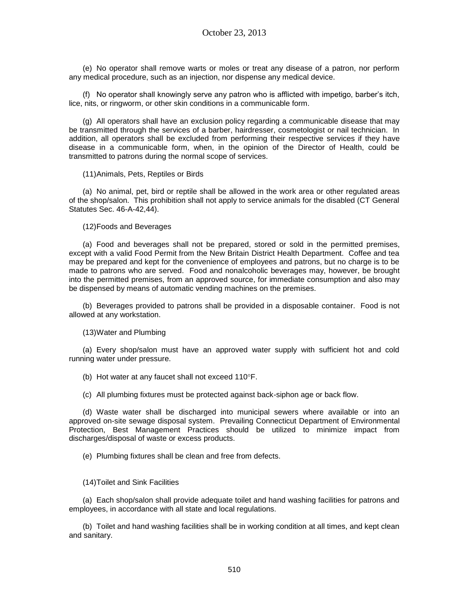(e) No operator shall remove warts or moles or treat any disease of a patron, nor perform any medical procedure, such as an injection, nor dispense any medical device.

(f) No operator shall knowingly serve any patron who is afflicted with impetigo, barber's itch, lice, nits, or ringworm, or other skin conditions in a communicable form.

(g) All operators shall have an exclusion policy regarding a communicable disease that may be transmitted through the services of a barber, hairdresser, cosmetologist or nail technician. In addition, all operators shall be excluded from performing their respective services if they have disease in a communicable form, when, in the opinion of the Director of Health, could be transmitted to patrons during the normal scope of services.

(11)Animals, Pets, Reptiles or Birds

(a) No animal, pet, bird or reptile shall be allowed in the work area or other regulated areas of the shop/salon. This prohibition shall not apply to service animals for the disabled (CT General Statutes Sec. 46-A-42,44).

(12)Foods and Beverages

(a) Food and beverages shall not be prepared, stored or sold in the permitted premises, except with a valid Food Permit from the New Britain District Health Department. Coffee and tea may be prepared and kept for the convenience of employees and patrons, but no charge is to be made to patrons who are served. Food and nonalcoholic beverages may, however, be brought into the permitted premises, from an approved source, for immediate consumption and also may be dispensed by means of automatic vending machines on the premises.

(b) Beverages provided to patrons shall be provided in a disposable container. Food is not allowed at any workstation.

(13)Water and Plumbing

(a) Every shop/salon must have an approved water supply with sufficient hot and cold running water under pressure.

(b) Hot water at any faucet shall not exceed  $110^{\circ}F$ .

(c) All plumbing fixtures must be protected against back-siphon age or back flow.

(d) Waste water shall be discharged into municipal sewers where available or into an approved on-site sewage disposal system. Prevailing Connecticut Department of Environmental Protection, Best Management Practices should be utilized to minimize impact from discharges/disposal of waste or excess products.

(e) Plumbing fixtures shall be clean and free from defects.

(14)Toilet and Sink Facilities

(a) Each shop/salon shall provide adequate toilet and hand washing facilities for patrons and employees, in accordance with all state and local regulations.

(b) Toilet and hand washing facilities shall be in working condition at all times, and kept clean and sanitary.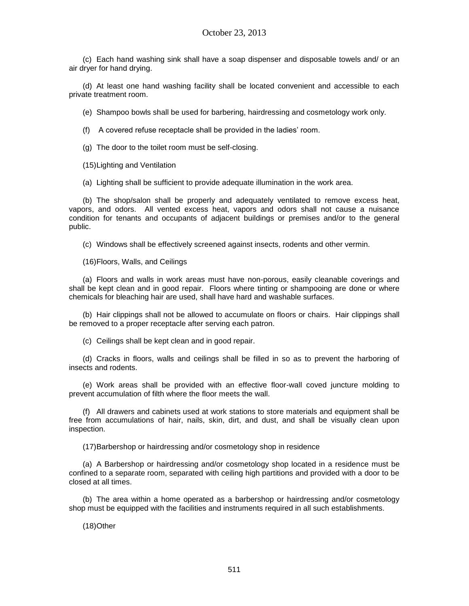(c) Each hand washing sink shall have a soap dispenser and disposable towels and/ or an air dryer for hand drying.

(d) At least one hand washing facility shall be located convenient and accessible to each private treatment room.

(e) Shampoo bowls shall be used for barbering, hairdressing and cosmetology work only.

(f) A covered refuse receptacle shall be provided in the ladies' room.

(g) The door to the toilet room must be self-closing.

(15)Lighting and Ventilation

(a) Lighting shall be sufficient to provide adequate illumination in the work area.

(b) The shop/salon shall be properly and adequately ventilated to remove excess heat, vapors, and odors. All vented excess heat, vapors and odors shall not cause a nuisance condition for tenants and occupants of adjacent buildings or premises and/or to the general public.

(c) Windows shall be effectively screened against insects, rodents and other vermin.

(16)Floors, Walls, and Ceilings

(a) Floors and walls in work areas must have non-porous, easily cleanable coverings and shall be kept clean and in good repair. Floors where tinting or shampooing are done or where chemicals for bleaching hair are used, shall have hard and washable surfaces.

(b) Hair clippings shall not be allowed to accumulate on floors or chairs. Hair clippings shall be removed to a proper receptacle after serving each patron.

(c) Ceilings shall be kept clean and in good repair.

(d) Cracks in floors, walls and ceilings shall be filled in so as to prevent the harboring of insects and rodents.

(e) Work areas shall be provided with an effective floor-wall coved juncture molding to prevent accumulation of filth where the floor meets the wall.

(f) All drawers and cabinets used at work stations to store materials and equipment shall be free from accumulations of hair, nails, skin, dirt, and dust, and shall be visually clean upon inspection.

(17)Barbershop or hairdressing and/or cosmetology shop in residence

(a) A Barbershop or hairdressing and/or cosmetology shop located in a residence must be confined to a separate room, separated with ceiling high partitions and provided with a door to be closed at all times.

(b) The area within a home operated as a barbershop or hairdressing and/or cosmetology shop must be equipped with the facilities and instruments required in all such establishments.

(18)Other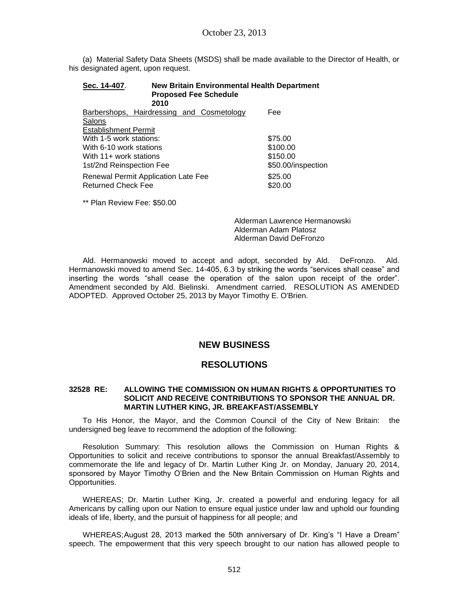(a) Material Safety Data Sheets (MSDS) shall be made available to the Director of Health, or his designated agent, upon request.

| <b>New Britain Environmental Health Department</b><br>Sec. 14-407.<br><b>Proposed Fee Schedule</b><br>2010 |                    |  |  |
|------------------------------------------------------------------------------------------------------------|--------------------|--|--|
| Barbershops, Hairdressing and Cosmetology                                                                  | Fee                |  |  |
| Salons                                                                                                     |                    |  |  |
| <b>Establishment Permit</b>                                                                                |                    |  |  |
| With 1-5 work stations:                                                                                    | \$75.00            |  |  |
| With 6-10 work stations                                                                                    | \$100.00           |  |  |
| With 11+ work stations                                                                                     | \$150.00           |  |  |
| 1st/2nd Reinspection Fee                                                                                   | \$50.00/inspection |  |  |
| Renewal Permit Application Late Fee<br><b>Returned Check Fee</b>                                           | \$25.00<br>\$20.00 |  |  |

\*\* Plan Review Fee: \$50.00

Alderman Lawrence Hermanowski Alderman Adam Platosz Alderman David DeFronzo

Ald. Hermanowski moved to accept and adopt, seconded by Ald. DeFronzo. Ald. Hermanowski moved to amend Sec. 14-405, 6.3 by striking the words "services shall cease" and inserting the words "shall cease the operation of the salon upon receipt of the order". Amendment seconded by Ald. Bielinski. Amendment carried. RESOLUTION AS AMENDED ADOPTED. Approved October 25, 2013 by Mayor Timothy E. O'Brien.

# **NEW BUSINESS**

# **RESOLUTIONS**

### **32528 RE: ALLOWING THE COMMISSION ON HUMAN RIGHTS & OPPORTUNITIES TO SOLICIT AND RECEIVE CONTRIBUTIONS TO SPONSOR THE ANNUAL DR. MARTIN LUTHER KING, JR. BREAKFAST/ASSEMBLY**

To His Honor, the Mayor, and the Common Council of the City of New Britain: the undersigned beg leave to recommend the adoption of the following:

Resolution Summary: This resolution allows the Commission on Human Rights & Opportunities to solicit and receive contributions to sponsor the annual Breakfast/Assembly to commemorate the life and legacy of Dr. Martin Luther King Jr. on Monday, January 20, 2014, sponsored by Mayor Timothy O'Brien and the New Britain Commission on Human Rights and Opportunities.

WHEREAS; Dr. Martin Luther King, Jr. created a powerful and enduring legacy for all Americans by calling upon our Nation to ensure equal justice under law and uphold our founding ideals of life, liberty, and the pursuit of happiness for all people; and

WHEREAS;August 28, 2013 marked the 50th anniversary of Dr. King's "I Have a Dream" speech. The empowerment that this very speech brought to our nation has allowed people to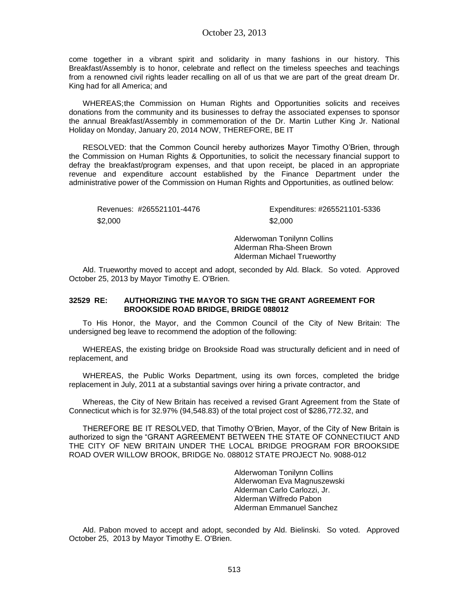come together in a vibrant spirit and solidarity in many fashions in our history. This Breakfast/Assembly is to honor, celebrate and reflect on the timeless speeches and teachings from a renowned civil rights leader recalling on all of us that we are part of the great dream Dr. King had for all America; and

WHEREAS;the Commission on Human Rights and Opportunities solicits and receives donations from the community and its businesses to defray the associated expenses to sponsor the annual Breakfast/Assembly in commemoration of the Dr. Martin Luther King Jr. National Holiday on Monday, January 20, 2014 NOW, THEREFORE, BE IT

RESOLVED: that the Common Council hereby authorizes Mayor Timothy O'Brien, through the Commission on Human Rights & Opportunities, to solicit the necessary financial support to defray the breakfast/program expenses, and that upon receipt, be placed in an appropriate revenue and expenditure account established by the Finance Department under the administrative power of the Commission on Human Rights and Opportunities, as outlined below:

 $$2,000$   $$2,000$ 

Revenues: #265521101-4476 Expenditures: #265521101-5336

Alderwoman Tonilynn Collins Alderman Rha-Sheen Brown Alderman Michael Trueworthy

Ald. Trueworthy moved to accept and adopt, seconded by Ald. Black. So voted. Approved October 25, 2013 by Mayor Timothy E. O'Brien.

### **32529 RE: AUTHORIZING THE MAYOR TO SIGN THE GRANT AGREEMENT FOR BROOKSIDE ROAD BRIDGE, BRIDGE 088012**

To His Honor, the Mayor, and the Common Council of the City of New Britain: The undersigned beg leave to recommend the adoption of the following:

WHEREAS, the existing bridge on Brookside Road was structurally deficient and in need of replacement, and

WHEREAS, the Public Works Department, using its own forces, completed the bridge replacement in July, 2011 at a substantial savings over hiring a private contractor, and

Whereas, the City of New Britain has received a revised Grant Agreement from the State of Connecticut which is for 32.97% (94,548.83) of the total project cost of \$286,772.32, and

THEREFORE BE IT RESOLVED, that Timothy O'Brien, Mayor, of the City of New Britain is authorized to sign the "GRANT AGREEMENT BETWEEN THE STATE OF CONNECTIUCT AND THE CITY OF NEW BRITAIN UNDER THE LOCAL BRIDGE PROGRAM FOR BROOKSIDE ROAD OVER WILLOW BROOK, BRIDGE No. 088012 STATE PROJECT No. 9088-012

> Alderwoman Tonilynn Collins Alderwoman Eva Magnuszewski Alderman Carlo Carlozzi, Jr. Alderman Wilfredo Pabon Alderman Emmanuel Sanchez

Ald. Pabon moved to accept and adopt, seconded by Ald. Bielinski. So voted. Approved October 25, 2013 by Mayor Timothy E. O'Brien.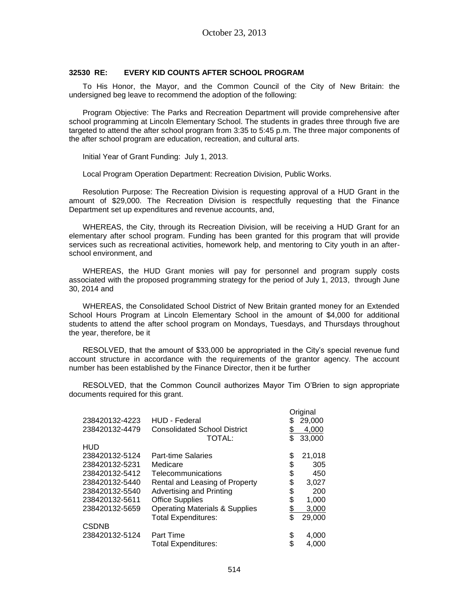### **32530 RE: EVERY KID COUNTS AFTER SCHOOL PROGRAM**

To His Honor, the Mayor, and the Common Council of the City of New Britain: the undersigned beg leave to recommend the adoption of the following:

Program Objective: The Parks and Recreation Department will provide comprehensive after school programming at Lincoln Elementary School. The students in grades three through five are targeted to attend the after school program from 3:35 to 5:45 p.m. The three major components of the after school program are education, recreation, and cultural arts.

Initial Year of Grant Funding: July 1, 2013.

Local Program Operation Department: Recreation Division, Public Works.

Resolution Purpose: The Recreation Division is requesting approval of a HUD Grant in the amount of \$29,000. The Recreation Division is respectfully requesting that the Finance Department set up expenditures and revenue accounts, and,

WHEREAS, the City, through its Recreation Division, will be receiving a HUD Grant for an elementary after school program. Funding has been granted for this program that will provide services such as recreational activities, homework help, and mentoring to City youth in an afterschool environment, and

WHEREAS, the HUD Grant monies will pay for personnel and program supply costs associated with the proposed programming strategy for the period of July 1, 2013, through June 30, 2014 and

WHEREAS, the Consolidated School District of New Britain granted money for an Extended School Hours Program at Lincoln Elementary School in the amount of \$4,000 for additional students to attend the after school program on Mondays, Tuesdays, and Thursdays throughout the year, therefore, be it

RESOLVED, that the amount of \$33,000 be appropriated in the City's special revenue fund account structure in accordance with the requirements of the grantor agency. The account number has been established by the Finance Director, then it be further

RESOLVED, that the Common Council authorizes Mayor Tim O'Brien to sign appropriate documents required for this grant.

|                |                                           |           | Original |
|----------------|-------------------------------------------|-----------|----------|
| 238420132-4223 | <b>HUD - Federal</b>                      |           | 29,000   |
| 238420132-4479 | <b>Consolidated School District</b>       |           | 4,000    |
|                | TOTAL:                                    | \$        | 33,000   |
| HUD            |                                           |           |          |
| 238420132-5124 | <b>Part-time Salaries</b>                 | \$        | 21,018   |
| 238420132-5231 | Medicare                                  | \$        | 305      |
| 238420132-5412 | Telecommunications                        | \$        | 450      |
| 238420132-5440 | Rental and Leasing of Property            | \$        | 3,027    |
| 238420132-5540 | Advertising and Printing                  | \$        | 200      |
| 238420132-5611 | <b>Office Supplies</b>                    | \$        | 1,000    |
| 238420132-5659 | <b>Operating Materials &amp; Supplies</b> | <u>\$</u> | 3,000    |
|                | <b>Total Expenditures:</b>                | \$        | 29,000   |
| <b>CSDNB</b>   |                                           |           |          |
| 238420132-5124 | Part Time                                 | \$        | 4,000    |
|                | Total Expenditures:                       | \$        | 4.000    |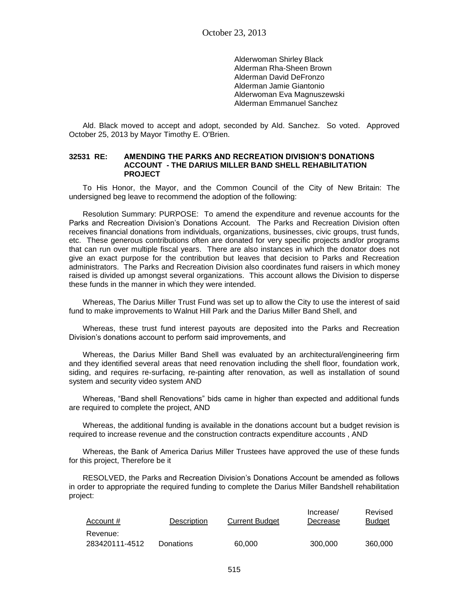Alderwoman Shirley Black Alderman Rha-Sheen Brown Alderman David DeFronzo Alderman Jamie Giantonio Alderwoman Eva Magnuszewski Alderman Emmanuel Sanchez

Ald. Black moved to accept and adopt, seconded by Ald. Sanchez. So voted. Approved October 25, 2013 by Mayor Timothy E. O'Brien.

### **32531 RE: AMENDING THE PARKS AND RECREATION DIVISION'S DONATIONS ACCOUNT - THE DARIUS MILLER BAND SHELL REHABILITATION PROJECT**

To His Honor, the Mayor, and the Common Council of the City of New Britain: The undersigned beg leave to recommend the adoption of the following:

Resolution Summary: PURPOSE: To amend the expenditure and revenue accounts for the Parks and Recreation Division's Donations Account. The Parks and Recreation Division often receives financial donations from individuals, organizations, businesses, civic groups, trust funds, etc. These generous contributions often are donated for very specific projects and/or programs that can run over multiple fiscal years. There are also instances in which the donator does not give an exact purpose for the contribution but leaves that decision to Parks and Recreation administrators. The Parks and Recreation Division also coordinates fund raisers in which money raised is divided up amongst several organizations. This account allows the Division to disperse these funds in the manner in which they were intended.

Whereas, The Darius Miller Trust Fund was set up to allow the City to use the interest of said fund to make improvements to Walnut Hill Park and the Darius Miller Band Shell, and

Whereas, these trust fund interest payouts are deposited into the Parks and Recreation Division's donations account to perform said improvements, and

Whereas, the Darius Miller Band Shell was evaluated by an architectural/engineering firm and they identified several areas that need renovation including the shell floor, foundation work, siding, and requires re-surfacing, re-painting after renovation, as well as installation of sound system and security video system AND

Whereas, "Band shell Renovations" bids came in higher than expected and additional funds are required to complete the project, AND

Whereas, the additional funding is available in the donations account but a budget revision is required to increase revenue and the construction contracts expenditure accounts , AND

Whereas, the Bank of America Darius Miller Trustees have approved the use of these funds for this project, Therefore be it

RESOLVED, the Parks and Recreation Division's Donations Account be amended as follows in order to appropriate the required funding to complete the Darius Miller Bandshell rehabilitation project:

| Account #      | <b>Description</b> | <b>Current Budget</b> | Increase/<br>Decrease | Revised<br><b>Budget</b> |
|----------------|--------------------|-----------------------|-----------------------|--------------------------|
| Revenue:       |                    |                       |                       |                          |
| 283420111-4512 | Donations          | 60,000                | 300.000               | 360,000                  |